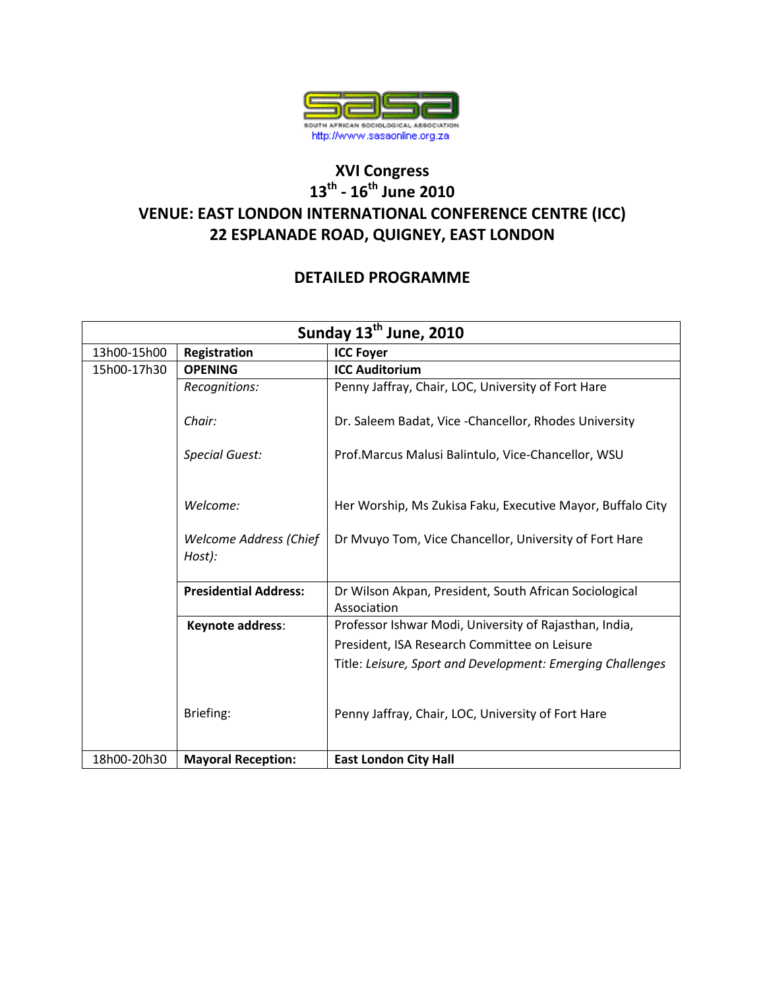

## **XVI Congress 13th - 16th June 2010 VENUE: EAST LONDON INTERNATIONAL CONFERENCE CENTRE (ICC) 22 ESPLANADE ROAD, QUIGNEY, EAST LONDON**

## **DETAILED PROGRAMME**

|             |                                         | Sunday 13 <sup>th</sup> June, 2010                                    |
|-------------|-----------------------------------------|-----------------------------------------------------------------------|
| 13h00-15h00 | Registration                            | <b>ICC Foyer</b>                                                      |
| 15h00-17h30 | <b>OPENING</b>                          | <b>ICC Auditorium</b>                                                 |
|             | Recognitions:                           | Penny Jaffray, Chair, LOC, University of Fort Hare                    |
|             | Chair:                                  | Dr. Saleem Badat, Vice - Chancellor, Rhodes University                |
|             | <b>Special Guest:</b>                   | Prof.Marcus Malusi Balintulo, Vice-Chancellor, WSU                    |
|             | Welcome:                                | Her Worship, Ms Zukisa Faku, Executive Mayor, Buffalo City            |
|             | <b>Welcome Address (Chief</b><br>Host): | Dr Mvuyo Tom, Vice Chancellor, University of Fort Hare                |
|             | <b>Presidential Address:</b>            | Dr Wilson Akpan, President, South African Sociological<br>Association |
|             | Keynote address:                        | Professor Ishwar Modi, University of Rajasthan, India,                |
|             |                                         | President, ISA Research Committee on Leisure                          |
|             |                                         | Title: Leisure, Sport and Development: Emerging Challenges            |
|             | Briefing:                               | Penny Jaffray, Chair, LOC, University of Fort Hare                    |
| 18h00-20h30 | <b>Mayoral Reception:</b>               | <b>East London City Hall</b>                                          |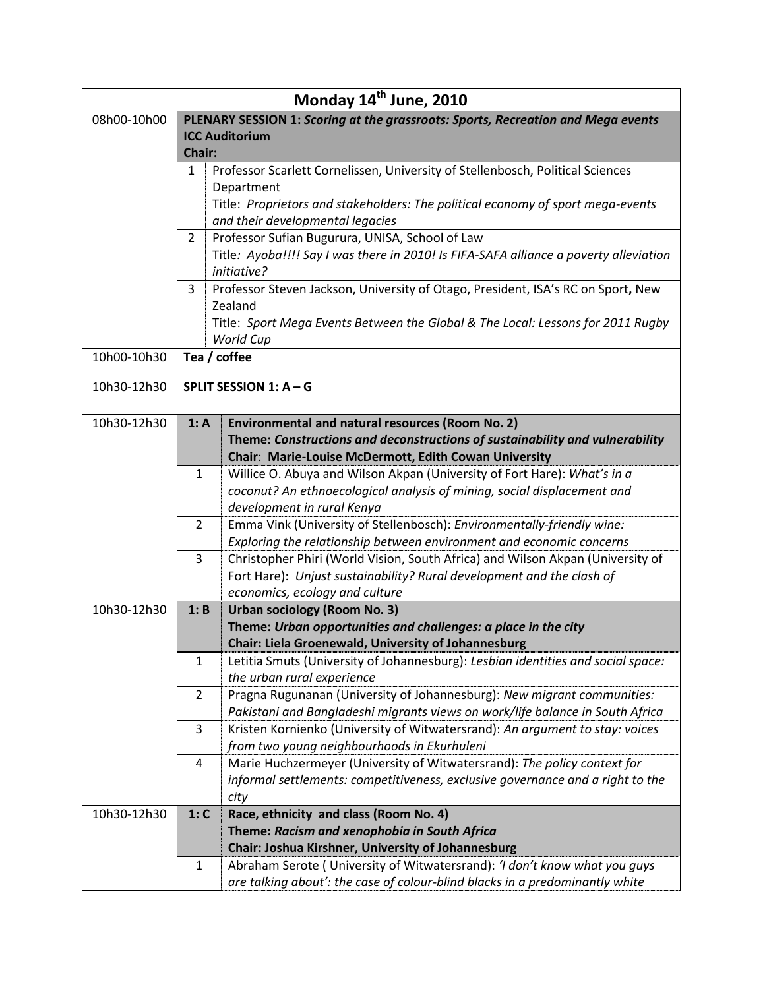|             |                                                                                     | Monday 14 <sup>th</sup> June, 2010                                                                                                       |  |  |
|-------------|-------------------------------------------------------------------------------------|------------------------------------------------------------------------------------------------------------------------------------------|--|--|
| 08h00-10h00 |                                                                                     | PLENARY SESSION 1: Scoring at the grassroots: Sports, Recreation and Mega events                                                         |  |  |
|             | <b>ICC Auditorium</b>                                                               |                                                                                                                                          |  |  |
|             | Chair:                                                                              |                                                                                                                                          |  |  |
|             | Professor Scarlett Cornelissen, University of Stellenbosch, Political Sciences<br>1 |                                                                                                                                          |  |  |
|             |                                                                                     | Department                                                                                                                               |  |  |
|             |                                                                                     | Title: Proprietors and stakeholders: The political economy of sport mega-events                                                          |  |  |
|             |                                                                                     | and their developmental legacies                                                                                                         |  |  |
|             | 2                                                                                   | Professor Sufian Bugurura, UNISA, School of Law<br>Title: Ayoba!!!! Say I was there in 2010! Is FIFA-SAFA alliance a poverty alleviation |  |  |
|             |                                                                                     | initiative?                                                                                                                              |  |  |
|             | 3                                                                                   | Professor Steven Jackson, University of Otago, President, ISA's RC on Sport, New                                                         |  |  |
|             |                                                                                     | Zealand                                                                                                                                  |  |  |
|             |                                                                                     | Title: Sport Mega Events Between the Global & The Local: Lessons for 2011 Rugby                                                          |  |  |
|             |                                                                                     | World Cup                                                                                                                                |  |  |
| 10h00-10h30 | Tea / coffee                                                                        |                                                                                                                                          |  |  |
|             |                                                                                     |                                                                                                                                          |  |  |
| 10h30-12h30 |                                                                                     | SPLIT SESSION 1: A - G                                                                                                                   |  |  |
|             |                                                                                     |                                                                                                                                          |  |  |
| 10h30-12h30 | 1: A                                                                                | <b>Environmental and natural resources (Room No. 2)</b>                                                                                  |  |  |
|             |                                                                                     | Theme: Constructions and deconstructions of sustainability and vulnerability                                                             |  |  |
|             |                                                                                     | Chair: Marie-Louise McDermott, Edith Cowan University                                                                                    |  |  |
|             | $\mathbf{1}$                                                                        | Willice O. Abuya and Wilson Akpan (University of Fort Hare): What's in a                                                                 |  |  |
|             |                                                                                     | coconut? An ethnoecological analysis of mining, social displacement and<br>development in rural Kenya                                    |  |  |
|             | 2                                                                                   | Emma Vink (University of Stellenbosch): Environmentally-friendly wine:                                                                   |  |  |
|             |                                                                                     | Exploring the relationship between environment and economic concerns                                                                     |  |  |
|             | 3                                                                                   | Christopher Phiri (World Vision, South Africa) and Wilson Akpan (University of                                                           |  |  |
|             |                                                                                     | Fort Hare): Unjust sustainability? Rural development and the clash of                                                                    |  |  |
|             |                                                                                     | economics, ecology and culture                                                                                                           |  |  |
| 10h30-12h30 | 1: B                                                                                | <b>Urban sociology (Room No. 3)</b>                                                                                                      |  |  |
|             |                                                                                     | Theme: Urban opportunities and challenges: a place in the city                                                                           |  |  |
|             |                                                                                     | Chair: Liela Groenewald, University of Johannesburg                                                                                      |  |  |
|             | $\mathbf{1}$                                                                        | Letitia Smuts (University of Johannesburg): Lesbian identities and social space:                                                         |  |  |
|             |                                                                                     | the urban rural experience                                                                                                               |  |  |
|             | $\overline{2}$                                                                      | Pragna Rugunanan (University of Johannesburg): New migrant communities:                                                                  |  |  |
|             |                                                                                     | Pakistani and Bangladeshi migrants views on work/life balance in South Africa                                                            |  |  |
|             | 3                                                                                   | Kristen Kornienko (University of Witwatersrand): An argument to stay: voices                                                             |  |  |
|             |                                                                                     | from two young neighbourhoods in Ekurhuleni                                                                                              |  |  |
|             | 4                                                                                   | Marie Huchzermeyer (University of Witwatersrand): The policy context for                                                                 |  |  |
|             |                                                                                     | informal settlements: competitiveness, exclusive governance and a right to the                                                           |  |  |
| 10h30-12h30 | 1: C                                                                                | city<br>Race, ethnicity and class (Room No. 4)                                                                                           |  |  |
|             |                                                                                     | Theme: Racism and xenophobia in South Africa                                                                                             |  |  |
|             |                                                                                     | Chair: Joshua Kirshner, University of Johannesburg                                                                                       |  |  |
|             | $\mathbf{1}$                                                                        | Abraham Serote ( University of Witwatersrand): 'I don't know what you guys                                                               |  |  |
|             |                                                                                     | are talking about': the case of colour-blind blacks in a predominantly white                                                             |  |  |
|             |                                                                                     |                                                                                                                                          |  |  |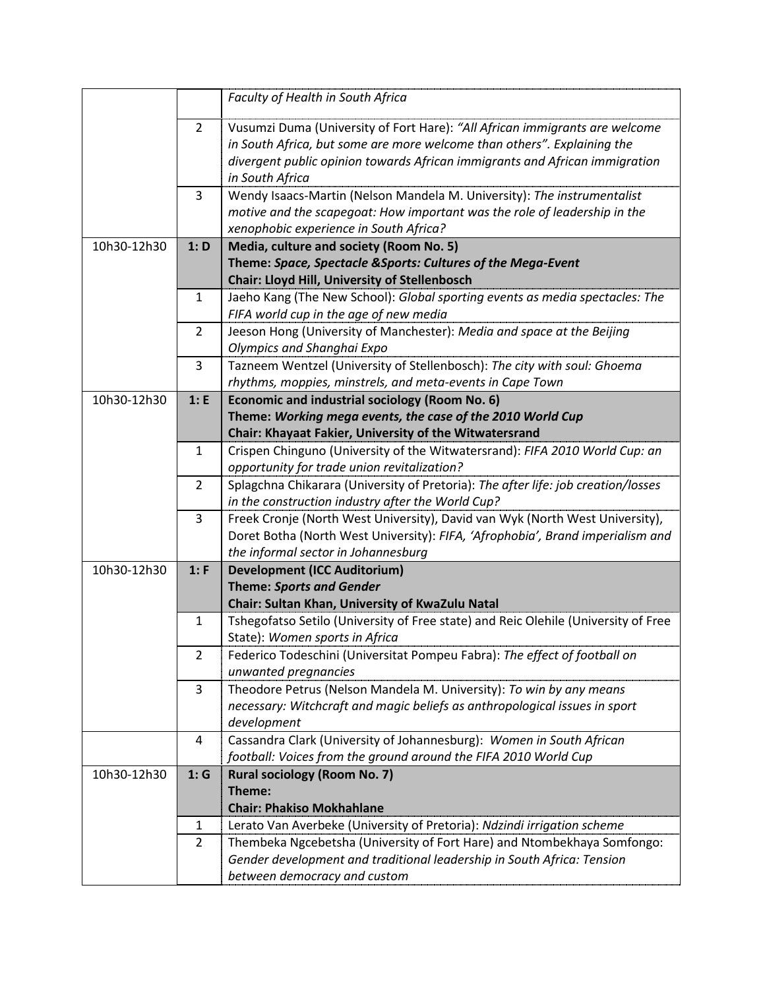|             |                | Faculty of Health in South Africa                                                                                     |
|-------------|----------------|-----------------------------------------------------------------------------------------------------------------------|
|             |                |                                                                                                                       |
|             | 2              | Vusumzi Duma (University of Fort Hare): "All African immigrants are welcome                                           |
|             |                | in South Africa, but some are more welcome than others". Explaining the                                               |
|             |                | divergent public opinion towards African immigrants and African immigration                                           |
|             |                | in South Africa                                                                                                       |
|             | 3              | Wendy Isaacs-Martin (Nelson Mandela M. University): The instrumentalist                                               |
|             |                | motive and the scapegoat: How important was the role of leadership in the                                             |
|             |                | xenophobic experience in South Africa?                                                                                |
| 10h30-12h30 | 1: D           | Media, culture and society (Room No. 5)                                                                               |
|             |                | Theme: Space, Spectacle & Sports: Cultures of the Mega-Event                                                          |
|             |                | <b>Chair: Lloyd Hill, University of Stellenbosch</b>                                                                  |
|             | 1              | Jaeho Kang (The New School): Global sporting events as media spectacles: The                                          |
|             |                | FIFA world cup in the age of new media                                                                                |
|             | $\overline{2}$ | Jeeson Hong (University of Manchester): Media and space at the Beijing                                                |
|             |                | Olympics and Shanghai Expo                                                                                            |
|             | 3              | Tazneem Wentzel (University of Stellenbosch): The city with soul: Ghoema                                              |
|             |                | rhythms, moppies, minstrels, and meta-events in Cape Town                                                             |
| 10h30-12h30 | 1: E           | <b>Economic and industrial sociology (Room No. 6)</b>                                                                 |
|             |                | Theme: Working mega events, the case of the 2010 World Cup                                                            |
|             |                | Chair: Khayaat Fakier, University of the Witwatersrand                                                                |
|             | $\mathbf{1}$   | Crispen Chinguno (University of the Witwatersrand): FIFA 2010 World Cup: an                                           |
|             |                | opportunity for trade union revitalization?                                                                           |
|             | $\overline{2}$ | Splagchna Chikarara (University of Pretoria): The after life: job creation/losses                                     |
|             |                | in the construction industry after the World Cup?                                                                     |
|             | 3              | Freek Cronje (North West University), David van Wyk (North West University),                                          |
|             |                | Doret Botha (North West University): FIFA, 'Afrophobia', Brand imperialism and<br>the informal sector in Johannesburg |
| 10h30-12h30 | 1: F           | <b>Development (ICC Auditorium)</b>                                                                                   |
|             |                | <b>Theme: Sports and Gender</b>                                                                                       |
|             |                | Chair: Sultan Khan, University of KwaZulu Natal                                                                       |
|             | $\mathbf{1}$   | Tshegofatso Setilo (University of Free state) and Reic Olehile (University of Free                                    |
|             |                | State): Women sports in Africa                                                                                        |
|             | 2              | Federico Todeschini (Universitat Pompeu Fabra): The effect of football on                                             |
|             |                | unwanted pregnancies                                                                                                  |
|             | 3              | Theodore Petrus (Nelson Mandela M. University): To win by any means                                                   |
|             |                | necessary: Witchcraft and magic beliefs as anthropological issues in sport                                            |
|             |                | development                                                                                                           |
|             | 4              | Cassandra Clark (University of Johannesburg): Women in South African                                                  |
|             |                | football: Voices from the ground around the FIFA 2010 World Cup                                                       |
| 10h30-12h30 | 1:G            | <b>Rural sociology (Room No. 7)</b>                                                                                   |
|             |                | Theme:                                                                                                                |
|             |                | <b>Chair: Phakiso Mokhahlane</b>                                                                                      |
|             | 1              | Lerato Van Averbeke (University of Pretoria): Ndzindi irrigation scheme                                               |
|             | 2              | Thembeka Ngcebetsha (University of Fort Hare) and Ntombekhaya Somfongo:                                               |
|             |                | Gender development and traditional leadership in South Africa: Tension                                                |
|             |                | between democracy and custom                                                                                          |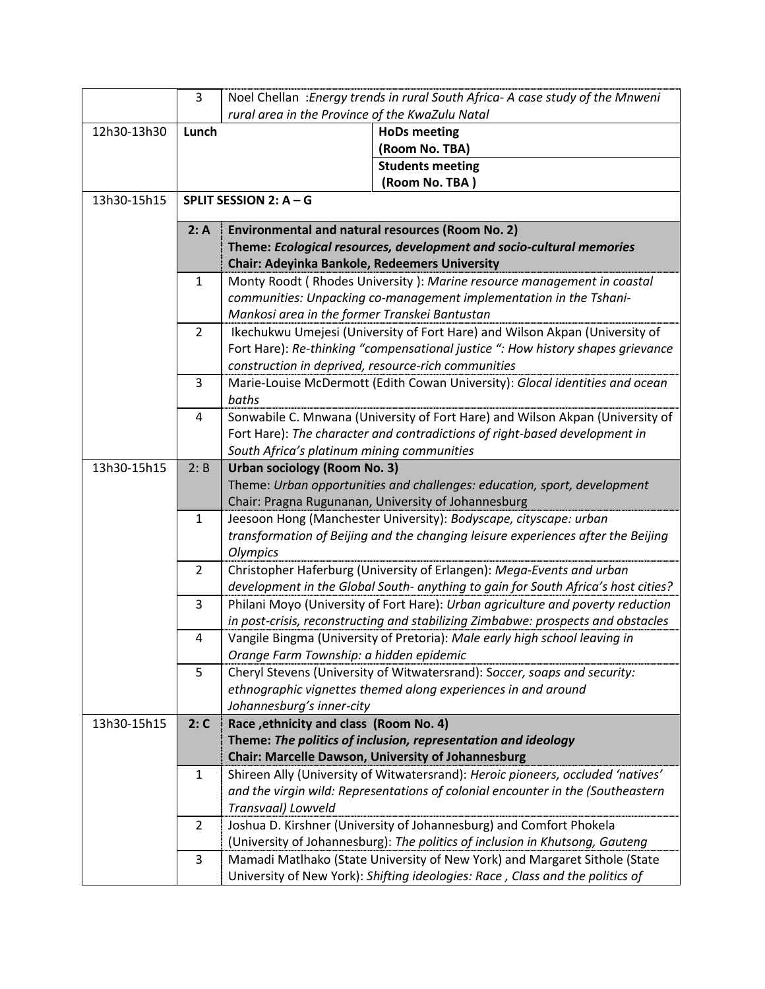| 3                                                          |                                                                                            | Noel Chellan : Energy trends in rural South Africa- A case study of the Mnweni                                                                                                                                                                                                                                                                                                                                                                                                                                                                   |
|------------------------------------------------------------|--------------------------------------------------------------------------------------------|--------------------------------------------------------------------------------------------------------------------------------------------------------------------------------------------------------------------------------------------------------------------------------------------------------------------------------------------------------------------------------------------------------------------------------------------------------------------------------------------------------------------------------------------------|
|                                                            | rural area in the Province of the KwaZulu Natal                                            |                                                                                                                                                                                                                                                                                                                                                                                                                                                                                                                                                  |
|                                                            |                                                                                            | <b>HoDs meeting</b>                                                                                                                                                                                                                                                                                                                                                                                                                                                                                                                              |
|                                                            |                                                                                            | (Room No. TBA)                                                                                                                                                                                                                                                                                                                                                                                                                                                                                                                                   |
|                                                            |                                                                                            | <b>Students meeting</b>                                                                                                                                                                                                                                                                                                                                                                                                                                                                                                                          |
|                                                            |                                                                                            | (Room No. TBA)                                                                                                                                                                                                                                                                                                                                                                                                                                                                                                                                   |
|                                                            |                                                                                            |                                                                                                                                                                                                                                                                                                                                                                                                                                                                                                                                                  |
| 2: A                                                       | Environmental and natural resources (Room No. 2)                                           |                                                                                                                                                                                                                                                                                                                                                                                                                                                                                                                                                  |
|                                                            |                                                                                            | Theme: Ecological resources, development and socio-cultural memories                                                                                                                                                                                                                                                                                                                                                                                                                                                                             |
|                                                            | <b>Chair: Adeyinka Bankole, Redeemers University</b>                                       |                                                                                                                                                                                                                                                                                                                                                                                                                                                                                                                                                  |
| 1                                                          |                                                                                            | Monty Roodt (Rhodes University): Marine resource management in coastal                                                                                                                                                                                                                                                                                                                                                                                                                                                                           |
|                                                            |                                                                                            | communities: Unpacking co-management implementation in the Tshani-                                                                                                                                                                                                                                                                                                                                                                                                                                                                               |
|                                                            | Mankosi area in the former Transkei Bantustan                                              |                                                                                                                                                                                                                                                                                                                                                                                                                                                                                                                                                  |
| $\overline{2}$                                             |                                                                                            | Ikechukwu Umejesi (University of Fort Hare) and Wilson Akpan (University of                                                                                                                                                                                                                                                                                                                                                                                                                                                                      |
|                                                            |                                                                                            | Fort Hare): Re-thinking "compensational justice ": How history shapes grievance                                                                                                                                                                                                                                                                                                                                                                                                                                                                  |
|                                                            |                                                                                            |                                                                                                                                                                                                                                                                                                                                                                                                                                                                                                                                                  |
| 3                                                          |                                                                                            | Marie-Louise McDermott (Edith Cowan University): Glocal identities and ocean                                                                                                                                                                                                                                                                                                                                                                                                                                                                     |
|                                                            |                                                                                            |                                                                                                                                                                                                                                                                                                                                                                                                                                                                                                                                                  |
| 4                                                          |                                                                                            | Sonwabile C. Mnwana (University of Fort Hare) and Wilson Akpan (University of                                                                                                                                                                                                                                                                                                                                                                                                                                                                    |
|                                                            |                                                                                            | Fort Hare): The character and contradictions of right-based development in                                                                                                                                                                                                                                                                                                                                                                                                                                                                       |
|                                                            |                                                                                            |                                                                                                                                                                                                                                                                                                                                                                                                                                                                                                                                                  |
| <b>Urban sociology (Room No. 3)</b><br>13h30-15h15<br>2: B |                                                                                            |                                                                                                                                                                                                                                                                                                                                                                                                                                                                                                                                                  |
|                                                            |                                                                                            | Theme: Urban opportunities and challenges: education, sport, development                                                                                                                                                                                                                                                                                                                                                                                                                                                                         |
|                                                            |                                                                                            |                                                                                                                                                                                                                                                                                                                                                                                                                                                                                                                                                  |
|                                                            |                                                                                            | Jeesoon Hong (Manchester University): Bodyscape, cityscape: urban                                                                                                                                                                                                                                                                                                                                                                                                                                                                                |
|                                                            |                                                                                            | transformation of Beijing and the changing leisure experiences after the Beijing                                                                                                                                                                                                                                                                                                                                                                                                                                                                 |
|                                                            |                                                                                            |                                                                                                                                                                                                                                                                                                                                                                                                                                                                                                                                                  |
|                                                            |                                                                                            | Christopher Haferburg (University of Erlangen): Mega-Events and urban                                                                                                                                                                                                                                                                                                                                                                                                                                                                            |
|                                                            |                                                                                            | development in the Global South- anything to gain for South Africa's host cities?                                                                                                                                                                                                                                                                                                                                                                                                                                                                |
|                                                            |                                                                                            | Philani Moyo (University of Fort Hare): Urban agriculture and poverty reduction                                                                                                                                                                                                                                                                                                                                                                                                                                                                  |
|                                                            |                                                                                            | in post-crisis, reconstructing and stabilizing Zimbabwe: prospects and obstacles                                                                                                                                                                                                                                                                                                                                                                                                                                                                 |
|                                                            |                                                                                            | Vangile Bingma (University of Pretoria): Male early high school leaving in                                                                                                                                                                                                                                                                                                                                                                                                                                                                       |
|                                                            |                                                                                            |                                                                                                                                                                                                                                                                                                                                                                                                                                                                                                                                                  |
|                                                            |                                                                                            | Cheryl Stevens (University of Witwatersrand): Soccer, soaps and security:                                                                                                                                                                                                                                                                                                                                                                                                                                                                        |
|                                                            |                                                                                            |                                                                                                                                                                                                                                                                                                                                                                                                                                                                                                                                                  |
|                                                            |                                                                                            |                                                                                                                                                                                                                                                                                                                                                                                                                                                                                                                                                  |
|                                                            |                                                                                            |                                                                                                                                                                                                                                                                                                                                                                                                                                                                                                                                                  |
|                                                            |                                                                                            |                                                                                                                                                                                                                                                                                                                                                                                                                                                                                                                                                  |
|                                                            |                                                                                            | Shireen Ally (University of Witwatersrand): Heroic pioneers, occluded 'natives'                                                                                                                                                                                                                                                                                                                                                                                                                                                                  |
|                                                            |                                                                                            | and the virgin wild: Representations of colonial encounter in the (Southeastern                                                                                                                                                                                                                                                                                                                                                                                                                                                                  |
|                                                            |                                                                                            |                                                                                                                                                                                                                                                                                                                                                                                                                                                                                                                                                  |
|                                                            |                                                                                            | Joshua D. Kirshner (University of Johannesburg) and Comfort Phokela                                                                                                                                                                                                                                                                                                                                                                                                                                                                              |
|                                                            |                                                                                            | (University of Johannesburg): The politics of inclusion in Khutsong, Gauteng                                                                                                                                                                                                                                                                                                                                                                                                                                                                     |
|                                                            |                                                                                            | Mamadi Matlhako (State University of New York) and Margaret Sithole (State                                                                                                                                                                                                                                                                                                                                                                                                                                                                       |
|                                                            |                                                                                            | University of New York): Shifting ideologies: Race, Class and the politics of                                                                                                                                                                                                                                                                                                                                                                                                                                                                    |
|                                                            | Lunch<br>$\mathbf{1}$<br>$\overline{2}$<br>3<br>4<br>5<br>2: C<br>1<br>$\overline{2}$<br>3 | SPLIT SESSION 2: $A - G$<br>construction in deprived, resource-rich communities<br>baths<br>South Africa's platinum mining communities<br>Chair: Pragna Rugunanan, University of Johannesburg<br>Olympics<br>Orange Farm Township: a hidden epidemic<br>ethnographic vignettes themed along experiences in and around<br>Johannesburg's inner-city<br>Race, ethnicity and class (Room No. 4)<br>Theme: The politics of inclusion, representation and ideology<br><b>Chair: Marcelle Dawson, University of Johannesburg</b><br>Transvaal) Lowveld |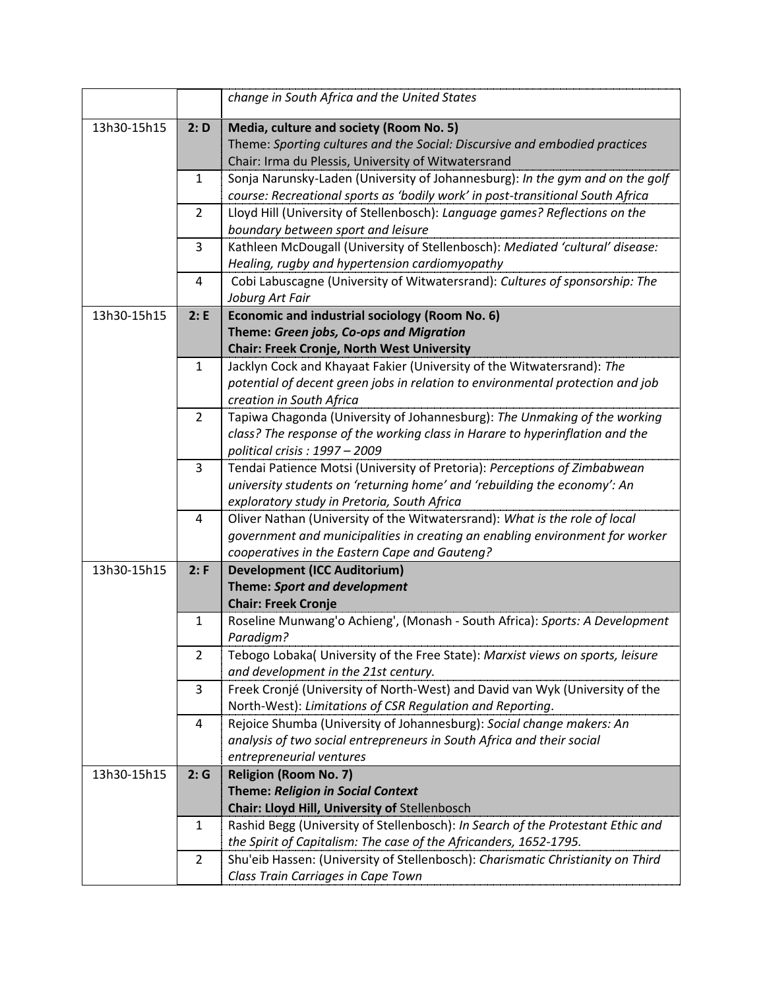|             |                | change in South Africa and the United States                                    |
|-------------|----------------|---------------------------------------------------------------------------------|
| 13h30-15h15 | 2: D           | Media, culture and society (Room No. 5)                                         |
|             |                | Theme: Sporting cultures and the Social: Discursive and embodied practices      |
|             |                | Chair: Irma du Plessis, University of Witwatersrand                             |
|             | 1              | Sonja Narunsky-Laden (University of Johannesburg): In the gym and on the golf   |
|             |                | course: Recreational sports as 'bodily work' in post-transitional South Africa  |
|             | $\overline{2}$ | Lloyd Hill (University of Stellenbosch): Language games? Reflections on the     |
|             |                | boundary between sport and leisure                                              |
|             | 3              | Kathleen McDougall (University of Stellenbosch): Mediated 'cultural' disease:   |
|             |                | Healing, rugby and hypertension cardiomyopathy                                  |
|             | 4              | Cobi Labuscagne (University of Witwatersrand): Cultures of sponsorship: The     |
|             |                | Joburg Art Fair                                                                 |
| 13h30-15h15 | 2: E           | Economic and industrial sociology (Room No. 6)                                  |
|             |                | Theme: Green jobs, Co-ops and Migration                                         |
|             |                | <b>Chair: Freek Cronje, North West University</b>                               |
|             | $\mathbf{1}$   | Jacklyn Cock and Khayaat Fakier (University of the Witwatersrand): The          |
|             |                | potential of decent green jobs in relation to environmental protection and job  |
|             |                | creation in South Africa                                                        |
|             | $\overline{2}$ | Tapiwa Chagonda (University of Johannesburg): The Unmaking of the working       |
|             |                | class? The response of the working class in Harare to hyperinflation and the    |
|             |                | political crisis: $1997 - 2009$                                                 |
|             | 3              | Tendai Patience Motsi (University of Pretoria): Perceptions of Zimbabwean       |
|             |                | university students on 'returning home' and 'rebuilding the economy': An        |
|             |                | exploratory study in Pretoria, South Africa                                     |
|             | 4              | Oliver Nathan (University of the Witwatersrand): What is the role of local      |
|             |                | government and municipalities in creating an enabling environment for worker    |
|             |                | cooperatives in the Eastern Cape and Gauteng?                                   |
| 13h30-15h15 | 2: F           | <b>Development (ICC Auditorium)</b>                                             |
|             |                | Theme: Sport and development                                                    |
|             |                | <b>Chair: Freek Cronje</b>                                                      |
|             | $\mathbf{1}$   | Roseline Munwang'o Achieng', (Monash - South Africa): Sports: A Development     |
|             |                | Paradigm?                                                                       |
|             | 2              | Tebogo Lobaka( University of the Free State): Marxist views on sports, leisure  |
|             |                | and development in the 21st century.                                            |
|             | 3              | Freek Cronjé (University of North-West) and David van Wyk (University of the    |
|             |                | North-West): Limitations of CSR Regulation and Reporting.                       |
|             | 4              | Rejoice Shumba (University of Johannesburg): Social change makers: An           |
|             |                | analysis of two social entrepreneurs in South Africa and their social           |
|             |                | entrepreneurial ventures                                                        |
| 13h30-15h15 | 2:G            | <b>Religion (Room No. 7)</b>                                                    |
|             |                | <b>Theme: Religion in Social Context</b>                                        |
|             |                | Chair: Lloyd Hill, University of Stellenbosch                                   |
|             | 1              | Rashid Begg (University of Stellenbosch): In Search of the Protestant Ethic and |
|             |                | the Spirit of Capitalism: The case of the Africanders, 1652-1795.               |
|             | $\overline{2}$ | Shu'eib Hassen: (University of Stellenbosch): Charismatic Christianity on Third |
|             |                | Class Train Carriages in Cape Town                                              |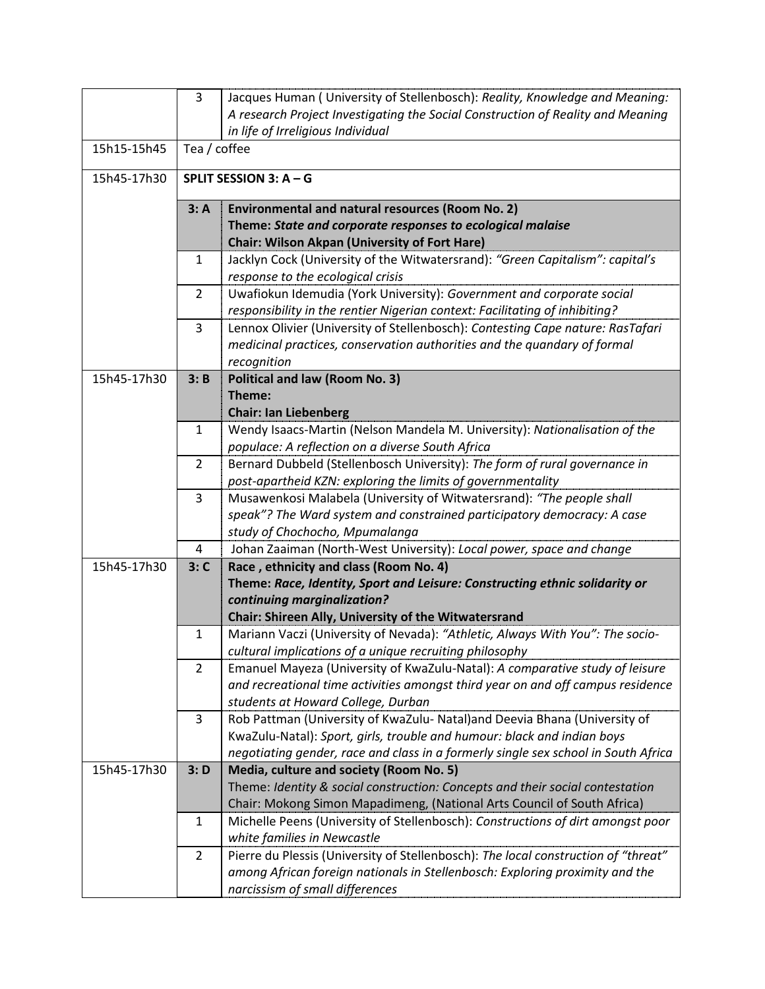|             | 3              | Jacques Human (University of Stellenbosch): Reality, Knowledge and Meaning:                                                               |  |  |
|-------------|----------------|-------------------------------------------------------------------------------------------------------------------------------------------|--|--|
|             |                | A research Project Investigating the Social Construction of Reality and Meaning<br>in life of Irreligious Individual                      |  |  |
| 15h15-15h45 |                | Tea / coffee                                                                                                                              |  |  |
|             |                |                                                                                                                                           |  |  |
| 15h45-17h30 |                | SPLIT SESSION 3: A - G                                                                                                                    |  |  |
|             | 3: A           | Environmental and natural resources (Room No. 2)                                                                                          |  |  |
|             |                | Theme: State and corporate responses to ecological malaise                                                                                |  |  |
|             |                | <b>Chair: Wilson Akpan (University of Fort Hare)</b>                                                                                      |  |  |
|             | 1              | Jacklyn Cock (University of the Witwatersrand): "Green Capitalism": capital's                                                             |  |  |
|             |                | response to the ecological crisis                                                                                                         |  |  |
|             | $\overline{2}$ | Uwafiokun Idemudia (York University): Government and corporate social                                                                     |  |  |
|             |                | responsibility in the rentier Nigerian context: Facilitating of inhibiting?                                                               |  |  |
|             | 3              | Lennox Olivier (University of Stellenbosch): Contesting Cape nature: RasTafari                                                            |  |  |
|             |                | medicinal practices, conservation authorities and the quandary of formal                                                                  |  |  |
|             |                | recognition                                                                                                                               |  |  |
| 15h45-17h30 | 3: B           | <b>Political and law (Room No. 3)</b>                                                                                                     |  |  |
|             |                | Theme:                                                                                                                                    |  |  |
|             |                | <b>Chair: Ian Liebenberg</b>                                                                                                              |  |  |
|             | $\mathbf{1}$   | Wendy Isaacs-Martin (Nelson Mandela M. University): Nationalisation of the                                                                |  |  |
|             |                | populace: A reflection on a diverse South Africa                                                                                          |  |  |
|             | $\overline{2}$ | Bernard Dubbeld (Stellenbosch University): The form of rural governance in<br>post-apartheid KZN: exploring the limits of governmentality |  |  |
|             | 3              | Musawenkosi Malabela (University of Witwatersrand): "The people shall                                                                     |  |  |
|             |                | speak"? The Ward system and constrained participatory democracy: A case                                                                   |  |  |
|             |                | study of Chochocho, Mpumalanga                                                                                                            |  |  |
|             | 4              | Johan Zaaiman (North-West University): Local power, space and change                                                                      |  |  |
| 15h45-17h30 | 3: C           | Race, ethnicity and class (Room No. 4)                                                                                                    |  |  |
|             |                | Theme: Race, Identity, Sport and Leisure: Constructing ethnic solidarity or                                                               |  |  |
|             |                | continuing marginalization?                                                                                                               |  |  |
|             |                | Chair: Shireen Ally, University of the Witwatersrand                                                                                      |  |  |
|             | $\mathbf{1}$   | Mariann Vaczi (University of Nevada): "Athletic, Always With You": The socio-                                                             |  |  |
|             |                | cultural implications of a unique recruiting philosophy                                                                                   |  |  |
|             | $\overline{2}$ | Emanuel Mayeza (University of KwaZulu-Natal): A comparative study of leisure                                                              |  |  |
|             |                | and recreational time activities amongst third year on and off campus residence                                                           |  |  |
|             |                | students at Howard College, Durban                                                                                                        |  |  |
|             | 3              | Rob Pattman (University of KwaZulu- Natal)and Deevia Bhana (University of                                                                 |  |  |
|             |                | KwaZulu-Natal): Sport, girls, trouble and humour: black and indian boys                                                                   |  |  |
|             |                | negotiating gender, race and class in a formerly single sex school in South Africa                                                        |  |  |
| 15h45-17h30 | 3: D           | Media, culture and society (Room No. 5)                                                                                                   |  |  |
|             |                | Theme: Identity & social construction: Concepts and their social contestation                                                             |  |  |
|             |                | Chair: Mokong Simon Mapadimeng, (National Arts Council of South Africa)                                                                   |  |  |
|             | 1              | Michelle Peens (University of Stellenbosch): Constructions of dirt amongst poor                                                           |  |  |
|             |                | white families in Newcastle                                                                                                               |  |  |
|             | $\overline{2}$ | Pierre du Plessis (University of Stellenbosch): The local construction of "threat"                                                        |  |  |
|             |                | among African foreign nationals in Stellenbosch: Exploring proximity and the                                                              |  |  |
|             |                | narcissism of small differences                                                                                                           |  |  |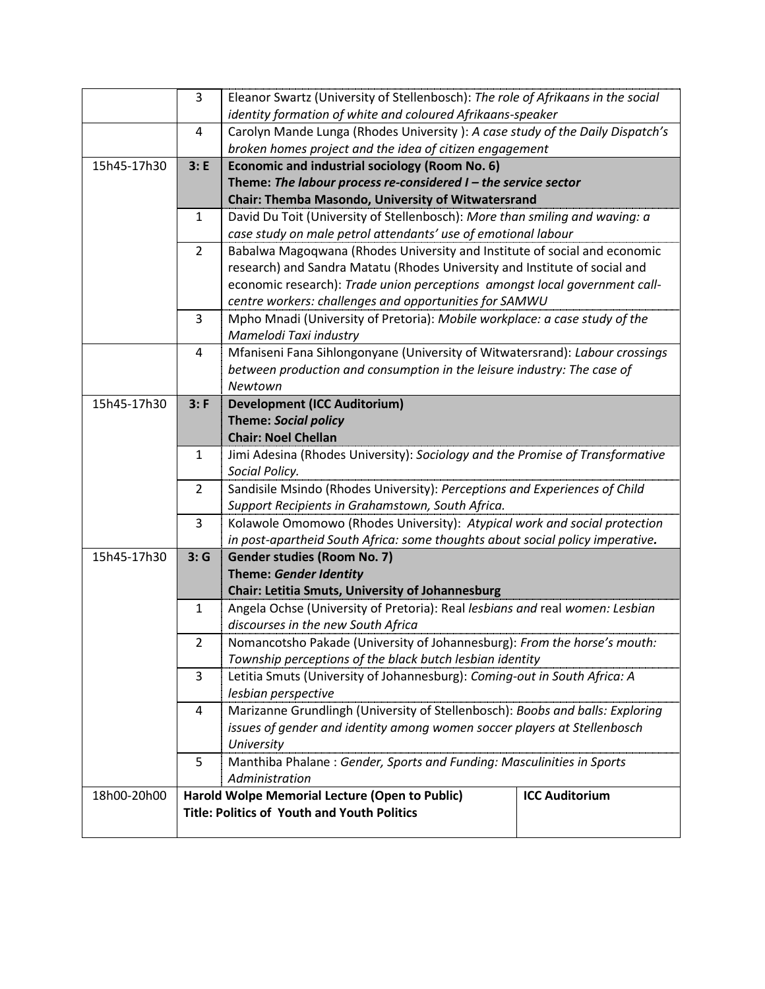|             | 3              |                                                                                                                                                |                       |  |
|-------------|----------------|------------------------------------------------------------------------------------------------------------------------------------------------|-----------------------|--|
|             |                | Eleanor Swartz (University of Stellenbosch): The role of Afrikaans in the social<br>identity formation of white and coloured Afrikaans-speaker |                       |  |
|             | 4              | Carolyn Mande Lunga (Rhodes University): A case study of the Daily Dispatch's                                                                  |                       |  |
|             |                | broken homes project and the idea of citizen engagement                                                                                        |                       |  |
| 15h45-17h30 | 3: E           | <b>Economic and industrial sociology (Room No. 6)</b>                                                                                          |                       |  |
|             |                | Theme: The labour process re-considered $I$ – the service sector                                                                               |                       |  |
|             |                | Chair: Themba Masondo, University of Witwatersrand                                                                                             |                       |  |
|             | $\mathbf{1}$   | David Du Toit (University of Stellenbosch): More than smiling and waving: a                                                                    |                       |  |
|             |                | case study on male petrol attendants' use of emotional labour                                                                                  |                       |  |
|             | $\overline{2}$ | Babalwa Magoqwana (Rhodes University and Institute of social and economic                                                                      |                       |  |
|             |                | research) and Sandra Matatu (Rhodes University and Institute of social and                                                                     |                       |  |
|             |                | economic research): Trade union perceptions amongst local government call-                                                                     |                       |  |
|             |                | centre workers: challenges and opportunities for SAMWU                                                                                         |                       |  |
|             | 3              | Mpho Mnadi (University of Pretoria): Mobile workplace: a case study of the                                                                     |                       |  |
|             |                | Mamelodi Taxi industry                                                                                                                         |                       |  |
|             | $\overline{4}$ | Mfaniseni Fana Sihlongonyane (University of Witwatersrand): Labour crossings                                                                   |                       |  |
|             |                | between production and consumption in the leisure industry: The case of                                                                        |                       |  |
|             |                | Newtown                                                                                                                                        |                       |  |
| 15h45-17h30 | 3: F           | <b>Development (ICC Auditorium)</b>                                                                                                            |                       |  |
|             |                | <b>Theme: Social policy</b>                                                                                                                    |                       |  |
|             |                | <b>Chair: Noel Chellan</b>                                                                                                                     |                       |  |
|             | 1              | Jimi Adesina (Rhodes University): Sociology and the Promise of Transformative                                                                  |                       |  |
|             |                | Social Policy.                                                                                                                                 |                       |  |
|             | 2              | Sandisile Msindo (Rhodes University): Perceptions and Experiences of Child                                                                     |                       |  |
|             |                | Support Recipients in Grahamstown, South Africa.                                                                                               |                       |  |
|             | 3              | Kolawole Omomowo (Rhodes University): Atypical work and social protection                                                                      |                       |  |
|             |                | in post-apartheid South Africa: some thoughts about social policy imperative.                                                                  |                       |  |
| 15h45-17h30 | 3:G            | Gender studies (Room No. 7)                                                                                                                    |                       |  |
|             |                | Theme: Gender Identity                                                                                                                         |                       |  |
|             |                | Chair: Letitia Smuts, University of Johannesburg                                                                                               |                       |  |
|             | 1              | Angela Ochse (University of Pretoria): Real lesbians and real women: Lesbian                                                                   |                       |  |
|             |                | discourses in the new South Africa                                                                                                             |                       |  |
|             | $\overline{2}$ | Nomancotsho Pakade (University of Johannesburg): From the horse's mouth:                                                                       |                       |  |
|             |                | Township perceptions of the black butch lesbian identity                                                                                       |                       |  |
|             | 3              | Letitia Smuts (University of Johannesburg): Coming-out in South Africa: A                                                                      |                       |  |
|             |                | lesbian perspective                                                                                                                            |                       |  |
|             | 4              | Marizanne Grundlingh (University of Stellenbosch): Boobs and balls: Exploring                                                                  |                       |  |
|             |                | issues of gender and identity among women soccer players at Stellenbosch                                                                       |                       |  |
|             |                | University                                                                                                                                     |                       |  |
|             | 5              | Manthiba Phalane: Gender, Sports and Funding: Masculinities in Sports                                                                          |                       |  |
|             |                | Administration                                                                                                                                 |                       |  |
| 18h00-20h00 |                | Harold Wolpe Memorial Lecture (Open to Public)                                                                                                 | <b>ICC Auditorium</b> |  |
|             |                | <b>Title: Politics of Youth and Youth Politics</b>                                                                                             |                       |  |
|             |                |                                                                                                                                                |                       |  |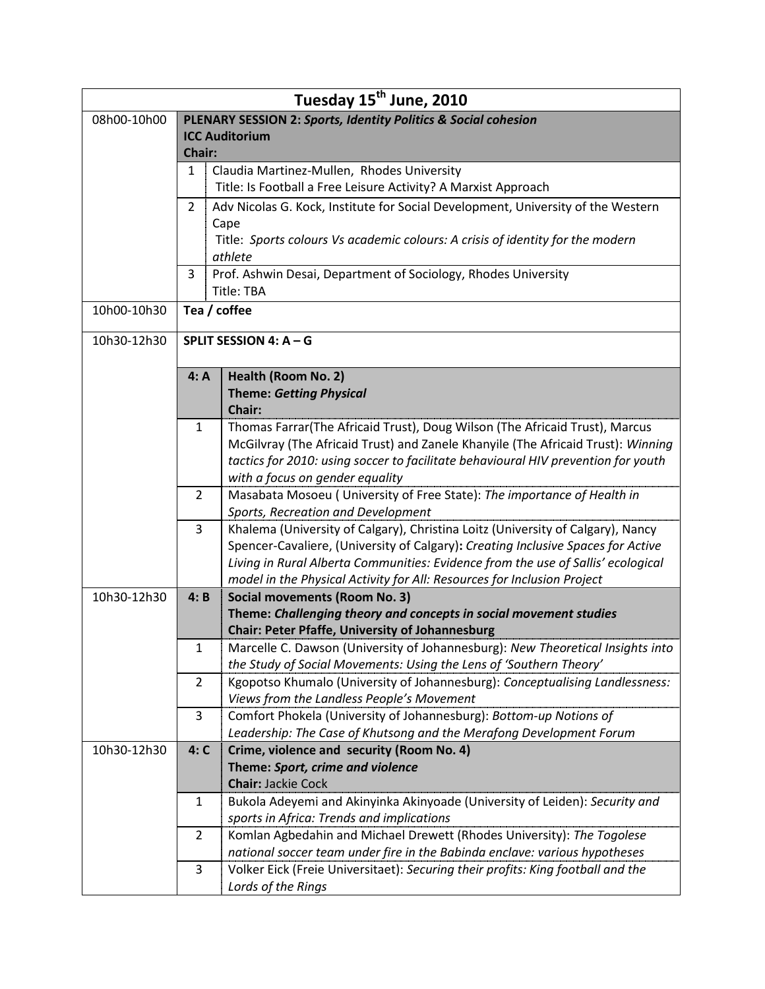| Tuesday 15 <sup>th</sup> June, 2010 |                                                                           |                                                                                                                |  |  |
|-------------------------------------|---------------------------------------------------------------------------|----------------------------------------------------------------------------------------------------------------|--|--|
| 08h00-10h00                         | <b>PLENARY SESSION 2: Sports, Identity Politics &amp; Social cohesion</b> |                                                                                                                |  |  |
|                                     | <b>ICC Auditorium</b>                                                     |                                                                                                                |  |  |
|                                     | <b>Chair:</b>                                                             |                                                                                                                |  |  |
|                                     | Claudia Martinez-Mullen, Rhodes University<br>1                           |                                                                                                                |  |  |
|                                     | Title: Is Football a Free Leisure Activity? A Marxist Approach            |                                                                                                                |  |  |
|                                     | $\overline{2}$                                                            | Adv Nicolas G. Kock, Institute for Social Development, University of the Western                               |  |  |
|                                     |                                                                           | Cape                                                                                                           |  |  |
|                                     |                                                                           | Title: Sports colours Vs academic colours: A crisis of identity for the modern                                 |  |  |
|                                     | 3                                                                         | athlete<br>Prof. Ashwin Desai, Department of Sociology, Rhodes University                                      |  |  |
|                                     |                                                                           | Title: TBA                                                                                                     |  |  |
| 10h00-10h30                         |                                                                           | Tea / coffee                                                                                                   |  |  |
|                                     |                                                                           |                                                                                                                |  |  |
| 10h30-12h30                         |                                                                           | SPLIT SESSION 4: A - G                                                                                         |  |  |
|                                     |                                                                           |                                                                                                                |  |  |
|                                     | 4: A                                                                      | Health (Room No. 2)                                                                                            |  |  |
|                                     |                                                                           | <b>Theme: Getting Physical</b>                                                                                 |  |  |
|                                     |                                                                           | Chair:                                                                                                         |  |  |
|                                     | 1                                                                         | Thomas Farrar(The Africaid Trust), Doug Wilson (The Africaid Trust), Marcus                                    |  |  |
|                                     |                                                                           | McGilvray (The Africaid Trust) and Zanele Khanyile (The Africaid Trust): Winning                               |  |  |
|                                     |                                                                           | tactics for 2010: using soccer to facilitate behavioural HIV prevention for youth                              |  |  |
|                                     |                                                                           | with a focus on gender equality                                                                                |  |  |
|                                     | 2                                                                         | Masabata Mosoeu ( University of Free State): The importance of Health in<br>Sports, Recreation and Development |  |  |
|                                     | 3                                                                         | Khalema (University of Calgary), Christina Loitz (University of Calgary), Nancy                                |  |  |
|                                     |                                                                           | Spencer-Cavaliere, (University of Calgary): Creating Inclusive Spaces for Active                               |  |  |
|                                     |                                                                           | Living in Rural Alberta Communities: Evidence from the use of Sallis' ecological                               |  |  |
|                                     |                                                                           | model in the Physical Activity for All: Resources for Inclusion Project                                        |  |  |
| 10h30-12h30                         | 4: B                                                                      | <b>Social movements (Room No. 3)</b>                                                                           |  |  |
|                                     |                                                                           | Theme: Challenging theory and concepts in social movement studies                                              |  |  |
|                                     |                                                                           | <b>Chair: Peter Pfaffe, University of Johannesburg</b>                                                         |  |  |
|                                     | 1                                                                         | Marcelle C. Dawson (University of Johannesburg): New Theoretical Insights into                                 |  |  |
|                                     |                                                                           | the Study of Social Movements: Using the Lens of 'Southern Theory'                                             |  |  |
|                                     | $\overline{2}$                                                            | Kgopotso Khumalo (University of Johannesburg): Conceptualising Landlessness:                                   |  |  |
|                                     |                                                                           | Views from the Landless People's Movement                                                                      |  |  |
|                                     | 3                                                                         | Comfort Phokela (University of Johannesburg): Bottom-up Notions of                                             |  |  |
|                                     |                                                                           | Leadership: The Case of Khutsong and the Merafong Development Forum                                            |  |  |
| 10h30-12h30                         | 4: C                                                                      | Crime, violence and security (Room No. 4)<br>Theme: Sport, crime and violence                                  |  |  |
|                                     |                                                                           | <b>Chair: Jackie Cock</b>                                                                                      |  |  |
|                                     | 1                                                                         | Bukola Adeyemi and Akinyinka Akinyoade (University of Leiden): Security and                                    |  |  |
|                                     |                                                                           | sports in Africa: Trends and implications                                                                      |  |  |
|                                     | $\overline{2}$                                                            | Komlan Agbedahin and Michael Drewett (Rhodes University): The Togolese                                         |  |  |
|                                     |                                                                           | national soccer team under fire in the Babinda enclave: various hypotheses                                     |  |  |
|                                     | 3                                                                         | Volker Eick (Freie Universitaet): Securing their profits: King football and the                                |  |  |
|                                     |                                                                           | Lords of the Rings                                                                                             |  |  |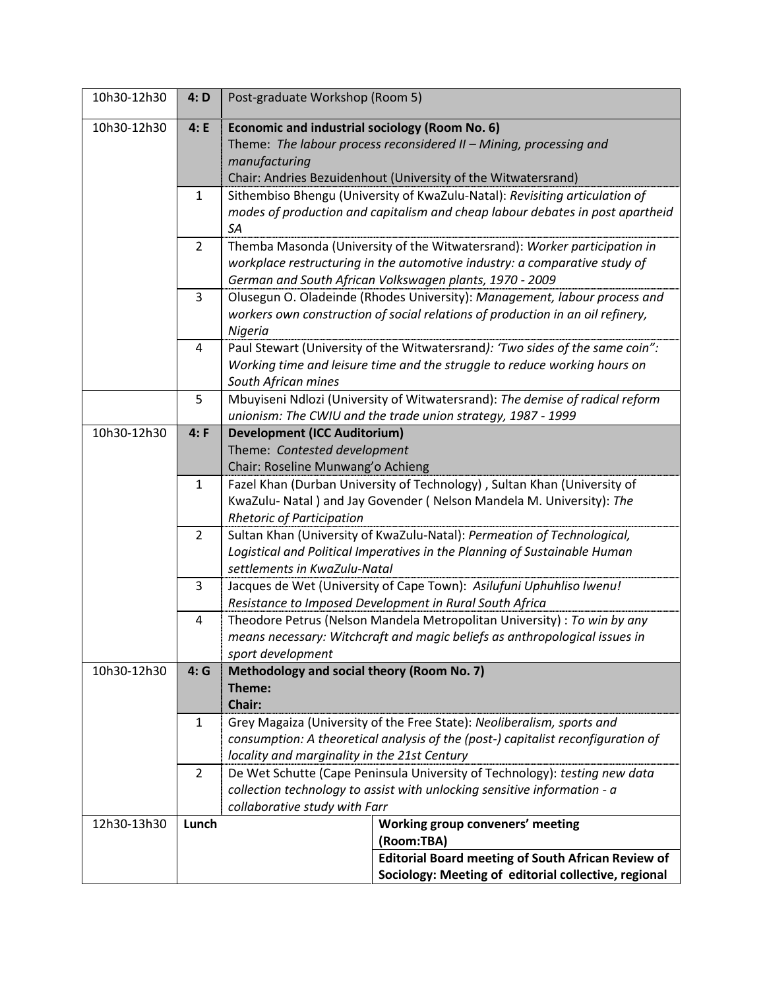| 10h30-12h30 | 4: D           | Post-graduate Workshop (Room 5)                                                                           |                                                                                  |  |  |
|-------------|----------------|-----------------------------------------------------------------------------------------------------------|----------------------------------------------------------------------------------|--|--|
| 10h30-12h30 | 4: E           | Economic and industrial sociology (Room No. 6)                                                            |                                                                                  |  |  |
|             |                |                                                                                                           | Theme: The labour process reconsidered II - Mining, processing and               |  |  |
|             |                | manufacturing                                                                                             |                                                                                  |  |  |
|             |                |                                                                                                           | Chair: Andries Bezuidenhout (University of the Witwatersrand)                    |  |  |
|             | $\mathbf{1}$   |                                                                                                           | Sithembiso Bhengu (University of KwaZulu-Natal): Revisiting articulation of      |  |  |
|             |                |                                                                                                           | modes of production and capitalism and cheap labour debates in post apartheid    |  |  |
|             |                | SA                                                                                                        |                                                                                  |  |  |
|             | $\overline{2}$ |                                                                                                           | Themba Masonda (University of the Witwatersrand): Worker participation in        |  |  |
|             |                |                                                                                                           | workplace restructuring in the automotive industry: a comparative study of       |  |  |
|             |                |                                                                                                           | German and South African Volkswagen plants, 1970 - 2009                          |  |  |
|             | 3              |                                                                                                           | Olusegun O. Oladeinde (Rhodes University): Management, labour process and        |  |  |
|             |                |                                                                                                           | workers own construction of social relations of production in an oil refinery,   |  |  |
|             |                | Nigeria                                                                                                   |                                                                                  |  |  |
|             | 4              |                                                                                                           | Paul Stewart (University of the Witwatersrand): 'Two sides of the same coin":    |  |  |
|             |                |                                                                                                           | Working time and leisure time and the struggle to reduce working hours on        |  |  |
|             |                | South African mines                                                                                       |                                                                                  |  |  |
|             | 5              |                                                                                                           | Mbuyiseni Ndlozi (University of Witwatersrand): The demise of radical reform     |  |  |
|             |                |                                                                                                           | unionism: The CWIU and the trade union strategy, 1987 - 1999                     |  |  |
| 10h30-12h30 | 4: F           | <b>Development (ICC Auditorium)</b>                                                                       |                                                                                  |  |  |
|             |                | Theme: Contested development                                                                              |                                                                                  |  |  |
|             |                | Chair: Roseline Munwang'o Achieng                                                                         |                                                                                  |  |  |
|             | $\mathbf{1}$   |                                                                                                           | Fazel Khan (Durban University of Technology), Sultan Khan (University of         |  |  |
|             |                |                                                                                                           | KwaZulu- Natal) and Jay Govender ( Nelson Mandela M. University): The            |  |  |
|             |                | <b>Rhetoric of Participation</b>                                                                          |                                                                                  |  |  |
|             | $\overline{2}$ |                                                                                                           | Sultan Khan (University of KwaZulu-Natal): Permeation of Technological,          |  |  |
|             |                | Logistical and Political Imperatives in the Planning of Sustainable Human                                 |                                                                                  |  |  |
|             |                | settlements in KwaZulu-Natal                                                                              |                                                                                  |  |  |
|             | 3              | Jacques de Wet (University of Cape Town): Asilufuni Uphuhliso Iwenu!                                      |                                                                                  |  |  |
|             |                |                                                                                                           | Resistance to Imposed Development in Rural South Africa                          |  |  |
|             | 4              |                                                                                                           | Theodore Petrus (Nelson Mandela Metropolitan University) : To win by any         |  |  |
|             |                |                                                                                                           | means necessary: Witchcraft and magic beliefs as anthropological issues in       |  |  |
|             |                | sport development                                                                                         |                                                                                  |  |  |
| 10h30-12h30 | 4:G            | Methodology and social theory (Room No. 7)                                                                |                                                                                  |  |  |
|             |                | Theme:                                                                                                    |                                                                                  |  |  |
|             |                | Chair:                                                                                                    |                                                                                  |  |  |
|             | 1              |                                                                                                           | Grey Magaiza (University of the Free State): Neoliberalism, sports and           |  |  |
|             |                |                                                                                                           | consumption: A theoretical analysis of the (post-) capitalist reconfiguration of |  |  |
|             |                | locality and marginality in the 21st Century                                                              |                                                                                  |  |  |
|             | $\overline{2}$ |                                                                                                           | De Wet Schutte (Cape Peninsula University of Technology): testing new data       |  |  |
|             |                | collection technology to assist with unlocking sensitive information - a<br>collaborative study with Farr |                                                                                  |  |  |
| 12h30-13h30 | Lunch          |                                                                                                           | Working group conveners' meeting                                                 |  |  |
|             |                |                                                                                                           | (Room:TBA)                                                                       |  |  |
|             |                |                                                                                                           | <b>Editorial Board meeting of South African Review of</b>                        |  |  |
|             |                |                                                                                                           | Sociology: Meeting of editorial collective, regional                             |  |  |
|             |                |                                                                                                           |                                                                                  |  |  |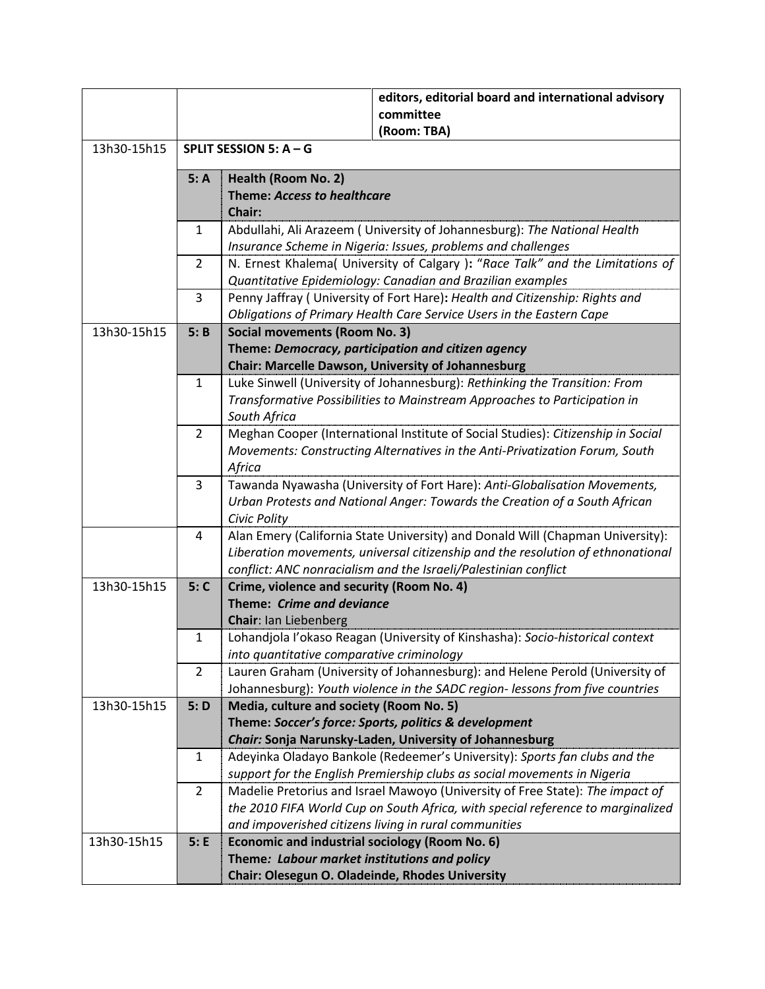|             |                |                                                                             | editors, editorial board and international advisory<br>committee                 |  |  |
|-------------|----------------|-----------------------------------------------------------------------------|----------------------------------------------------------------------------------|--|--|
|             |                |                                                                             | (Room: TBA)                                                                      |  |  |
| 13h30-15h15 |                | SPLIT SESSION 5: A - G                                                      |                                                                                  |  |  |
|             | 5: A           | Health (Room No. 2)                                                         |                                                                                  |  |  |
|             |                | <b>Theme: Access to healthcare</b>                                          |                                                                                  |  |  |
|             |                | Chair:                                                                      |                                                                                  |  |  |
|             | 1              |                                                                             | Abdullahi, Ali Arazeem ( University of Johannesburg): The National Health        |  |  |
|             |                |                                                                             | Insurance Scheme in Nigeria: Issues, problems and challenges                     |  |  |
|             | 2              |                                                                             | N. Ernest Khalema( University of Calgary ): "Race Talk" and the Limitations of   |  |  |
|             |                |                                                                             | Quantitative Epidemiology: Canadian and Brazilian examples                       |  |  |
|             | 3              |                                                                             | Penny Jaffray (University of Fort Hare): Health and Citizenship: Rights and      |  |  |
|             |                |                                                                             | Obligations of Primary Health Care Service Users in the Eastern Cape             |  |  |
| 13h30-15h15 | 5: B           | <b>Social movements (Room No. 3)</b>                                        |                                                                                  |  |  |
|             |                |                                                                             | Theme: Democracy, participation and citizen agency                               |  |  |
|             |                |                                                                             | <b>Chair: Marcelle Dawson, University of Johannesburg</b>                        |  |  |
|             | $\mathbf{1}$   |                                                                             | Luke Sinwell (University of Johannesburg): Rethinking the Transition: From       |  |  |
|             |                |                                                                             | Transformative Possibilities to Mainstream Approaches to Participation in        |  |  |
|             |                | South Africa                                                                |                                                                                  |  |  |
|             | $\overline{2}$ |                                                                             | Meghan Cooper (International Institute of Social Studies): Citizenship in Social |  |  |
|             |                | Movements: Constructing Alternatives in the Anti-Privatization Forum, South |                                                                                  |  |  |
|             |                | Africa                                                                      |                                                                                  |  |  |
|             | 3              | Tawanda Nyawasha (University of Fort Hare): Anti-Globalisation Movements,   |                                                                                  |  |  |
|             |                | Urban Protests and National Anger: Towards the Creation of a South African  |                                                                                  |  |  |
|             |                | Civic Polity                                                                |                                                                                  |  |  |
|             | 4              |                                                                             | Alan Emery (California State University) and Donald Will (Chapman University):   |  |  |
|             |                |                                                                             | Liberation movements, universal citizenship and the resolution of ethnonational  |  |  |
|             |                |                                                                             | conflict: ANC nonracialism and the Israeli/Palestinian conflict                  |  |  |
| 13h30-15h15 | 5: C           | Crime, violence and security (Room No. 4)                                   |                                                                                  |  |  |
|             |                | Theme: Crime and deviance                                                   |                                                                                  |  |  |
|             |                | Chair: Ian Liebenberg                                                       |                                                                                  |  |  |
|             | 1              |                                                                             | Lohandjola l'okaso Reagan (University of Kinshasha): Socio-historical context    |  |  |
|             |                | into quantitative comparative criminology                                   |                                                                                  |  |  |
|             | $\overline{2}$ |                                                                             | Lauren Graham (University of Johannesburg): and Helene Perold (University of     |  |  |
|             |                |                                                                             | Johannesburg): Youth violence in the SADC region- lessons from five countries    |  |  |
| 13h30-15h15 | 5: D           | Media, culture and society (Room No. 5)                                     |                                                                                  |  |  |
|             |                |                                                                             | Theme: Soccer's force: Sports, politics & development                            |  |  |
|             |                |                                                                             | Chair: Sonja Narunsky-Laden, University of Johannesburg                          |  |  |
|             | $\mathbf{1}$   |                                                                             | Adeyinka Oladayo Bankole (Redeemer's University): Sports fan clubs and the       |  |  |
|             |                |                                                                             | support for the English Premiership clubs as social movements in Nigeria         |  |  |
|             | 2              |                                                                             | Madelie Pretorius and Israel Mawoyo (University of Free State): The impact of    |  |  |
|             |                |                                                                             | the 2010 FIFA World Cup on South Africa, with special reference to marginalized  |  |  |
|             |                |                                                                             | and impoverished citizens living in rural communities                            |  |  |
| 13h30-15h15 | 5: E           | Economic and industrial sociology (Room No. 6)                              |                                                                                  |  |  |
|             |                | Theme: Labour market institutions and policy                                |                                                                                  |  |  |
|             |                | Chair: Olesegun O. Oladeinde, Rhodes University                             |                                                                                  |  |  |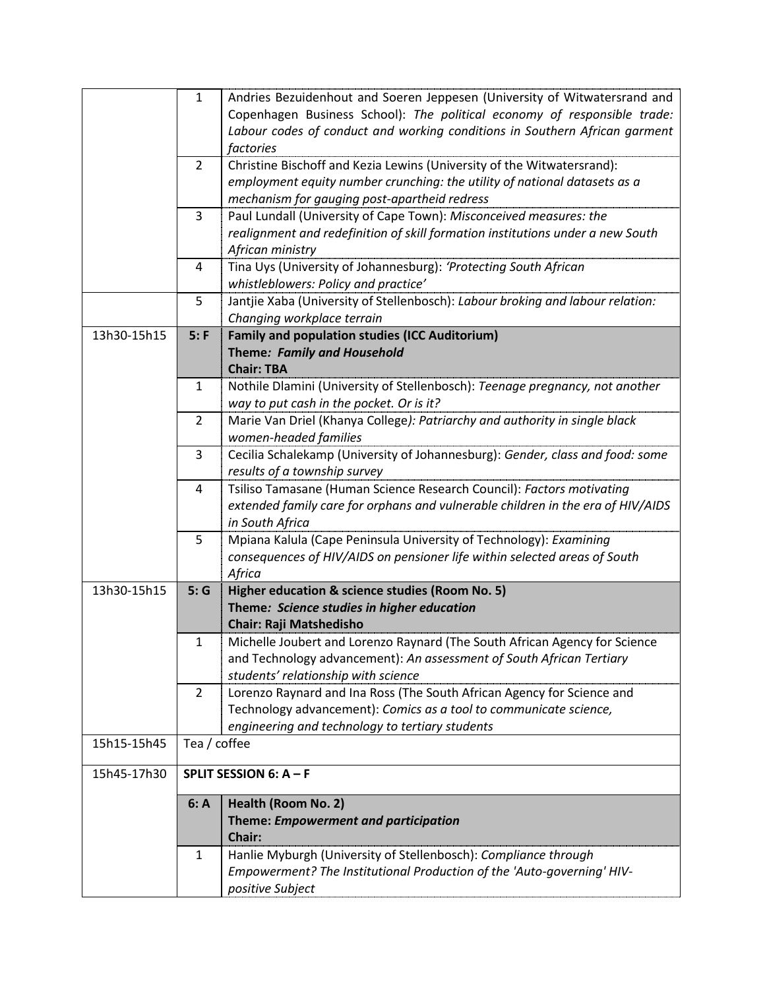|             | $\mathbf{1}$   | Andries Bezuidenhout and Soeren Jeppesen (University of Witwatersrand and       |
|-------------|----------------|---------------------------------------------------------------------------------|
|             |                | Copenhagen Business School): The political economy of responsible trade:        |
|             |                | Labour codes of conduct and working conditions in Southern African garment      |
|             |                | factories                                                                       |
|             | $\overline{2}$ | Christine Bischoff and Kezia Lewins (University of the Witwatersrand):          |
|             |                | employment equity number crunching: the utility of national datasets as a       |
|             |                | mechanism for gauging post-apartheid redress                                    |
|             | 3              | Paul Lundall (University of Cape Town): Misconceived measures: the              |
|             |                | realignment and redefinition of skill formation institutions under a new South  |
|             |                | African ministry                                                                |
|             | 4              | Tina Uys (University of Johannesburg): 'Protecting South African                |
|             |                | whistleblowers: Policy and practice'                                            |
|             | 5              | Jantjie Xaba (University of Stellenbosch): Labour broking and labour relation:  |
|             |                | Changing workplace terrain                                                      |
| 13h30-15h15 | 5: F           | <b>Family and population studies (ICC Auditorium)</b>                           |
|             |                | Theme: Family and Household                                                     |
|             |                | <b>Chair: TBA</b>                                                               |
|             | 1              | Nothile Dlamini (University of Stellenbosch): Teenage pregnancy, not another    |
|             |                | way to put cash in the pocket. Or is it?                                        |
|             | $\overline{2}$ | Marie Van Driel (Khanya College): Patriarchy and authority in single black      |
|             |                | women-headed families                                                           |
|             | 3              | Cecilia Schalekamp (University of Johannesburg): Gender, class and food: some   |
|             |                | results of a township survey                                                    |
|             | 4              | Tsiliso Tamasane (Human Science Research Council): Factors motivating           |
|             |                | extended family care for orphans and vulnerable children in the era of HIV/AIDS |
|             |                | in South Africa                                                                 |
|             | 5              | Mpiana Kalula (Cape Peninsula University of Technology): Examining              |
|             |                | consequences of HIV/AIDS on pensioner life within selected areas of South       |
| 13h30-15h15 | 5:G            | Africa<br>Higher education & science studies (Room No. 5)                       |
|             |                | Theme: Science studies in higher education                                      |
|             |                | <b>Chair: Raji Matshedisho</b>                                                  |
|             | 1              | Michelle Joubert and Lorenzo Raynard (The South African Agency for Science      |
|             |                | and Technology advancement): An assessment of South African Tertiary            |
|             |                | students' relationship with science                                             |
|             | 2              | Lorenzo Raynard and Ina Ross (The South African Agency for Science and          |
|             |                | Technology advancement): Comics as a tool to communicate science,               |
|             |                | engineering and technology to tertiary students                                 |
| 15h15-15h45 | Tea / coffee   |                                                                                 |
|             |                |                                                                                 |
| 15h45-17h30 |                | SPLIT SESSION 6: A - F                                                          |
|             | 6: A           | <b>Health (Room No. 2)</b>                                                      |
|             |                | Theme: Empowerment and participation                                            |
|             |                | Chair:                                                                          |
|             | 1              | Hanlie Myburgh (University of Stellenbosch): Compliance through                 |
|             |                | Empowerment? The Institutional Production of the 'Auto-governing' HIV-          |
|             |                | positive Subject                                                                |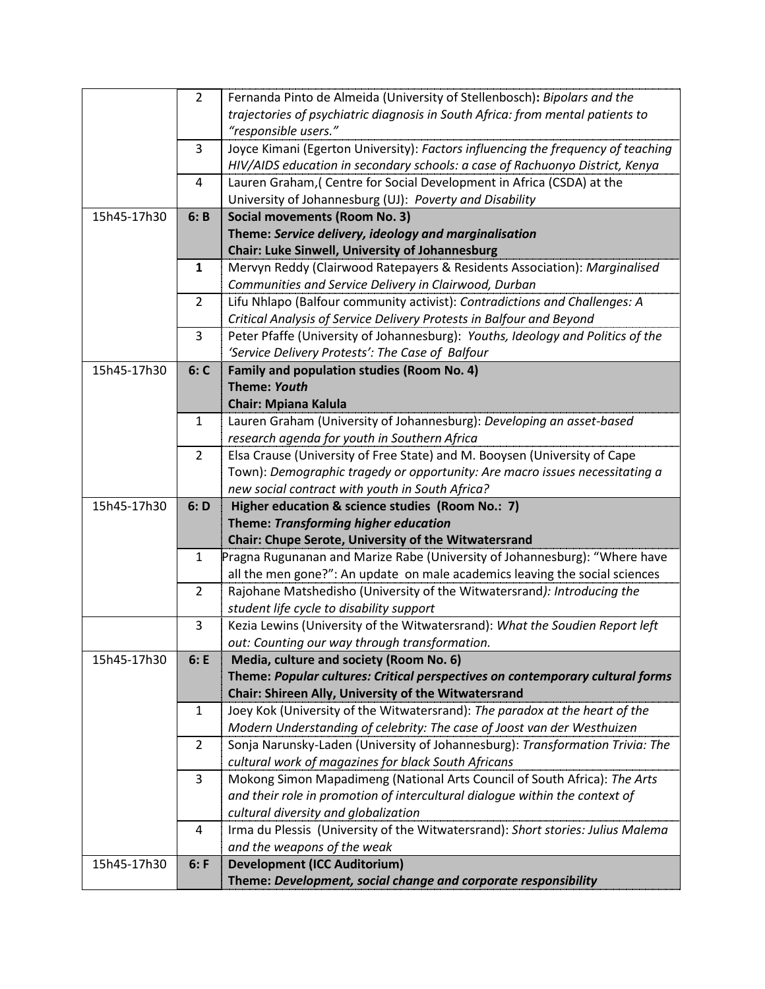|             | $\overline{2}$ | Fernanda Pinto de Almeida (University of Stellenbosch): Bipolars and the         |
|-------------|----------------|----------------------------------------------------------------------------------|
|             |                | trajectories of psychiatric diagnosis in South Africa: from mental patients to   |
|             |                | "responsible users."                                                             |
|             | 3              | Joyce Kimani (Egerton University): Factors influencing the frequency of teaching |
|             |                | HIV/AIDS education in secondary schools: a case of Rachuonyo District, Kenya     |
|             | 4              | Lauren Graham, (Centre for Social Development in Africa (CSDA) at the            |
|             |                | University of Johannesburg (UJ): Poverty and Disability                          |
| 15h45-17h30 | 6: B           | <b>Social movements (Room No. 3)</b>                                             |
|             |                | Theme: Service delivery, ideology and marginalisation                            |
|             |                | Chair: Luke Sinwell, University of Johannesburg                                  |
|             | $\mathbf{1}$   | Mervyn Reddy (Clairwood Ratepayers & Residents Association): Marginalised        |
|             |                | Communities and Service Delivery in Clairwood, Durban                            |
|             | $\overline{2}$ | Lifu Nhlapo (Balfour community activist): Contradictions and Challenges: A       |
|             |                | Critical Analysis of Service Delivery Protests in Balfour and Beyond             |
|             | 3              | Peter Pfaffe (University of Johannesburg): Youths, Ideology and Politics of the  |
|             |                | 'Service Delivery Protests': The Case of Balfour                                 |
| 15h45-17h30 | 6: C           | Family and population studies (Room No. 4)                                       |
|             |                | <b>Theme: Youth</b>                                                              |
|             |                | <b>Chair: Mpiana Kalula</b>                                                      |
|             | $\mathbf{1}$   | Lauren Graham (University of Johannesburg): Developing an asset-based            |
|             |                | research agenda for youth in Southern Africa                                     |
|             | $\overline{2}$ | Elsa Crause (University of Free State) and M. Booysen (University of Cape        |
|             |                | Town): Demographic tragedy or opportunity: Are macro issues necessitating a      |
|             |                | new social contract with youth in South Africa?                                  |
| 15h45-17h30 | 6: D           | Higher education & science studies (Room No.: 7)                                 |
|             |                | Theme: Transforming higher education                                             |
|             |                | Chair: Chupe Serote, University of the Witwatersrand                             |
|             | $\mathbf{1}$   | Pragna Rugunanan and Marize Rabe (University of Johannesburg): "Where have       |
|             |                | all the men gone?": An update on male academics leaving the social sciences      |
|             | $\overline{2}$ | Rajohane Matshedisho (University of the Witwatersrand): Introducing the          |
|             |                | student life cycle to disability support                                         |
|             | 3              | Kezia Lewins (University of the Witwatersrand): What the Soudien Report left     |
|             |                | out: Counting our way through transformation.                                    |
| 15h45-17h30 | 6: E           | Media, culture and society (Room No. 6)                                          |
|             |                | Theme: Popular cultures: Critical perspectives on contemporary cultural forms    |
|             |                | Chair: Shireen Ally, University of the Witwatersrand                             |
|             | $\mathbf{1}$   | Joey Kok (University of the Witwatersrand): The paradox at the heart of the      |
|             |                | Modern Understanding of celebrity: The case of Joost van der Westhuizen          |
|             | $\overline{2}$ | Sonja Narunsky-Laden (University of Johannesburg): Transformation Trivia: The    |
|             |                | cultural work of magazines for black South Africans                              |
|             | 3              | Mokong Simon Mapadimeng (National Arts Council of South Africa): The Arts        |
|             |                | and their role in promotion of intercultural dialogue within the context of      |
|             |                | cultural diversity and globalization                                             |
|             | 4              | Irma du Plessis (University of the Witwatersrand): Short stories: Julius Malema  |
|             |                | and the weapons of the weak                                                      |
| 15h45-17h30 | 6: F           | <b>Development (ICC Auditorium)</b>                                              |
|             |                | Theme: Development, social change and corporate responsibility                   |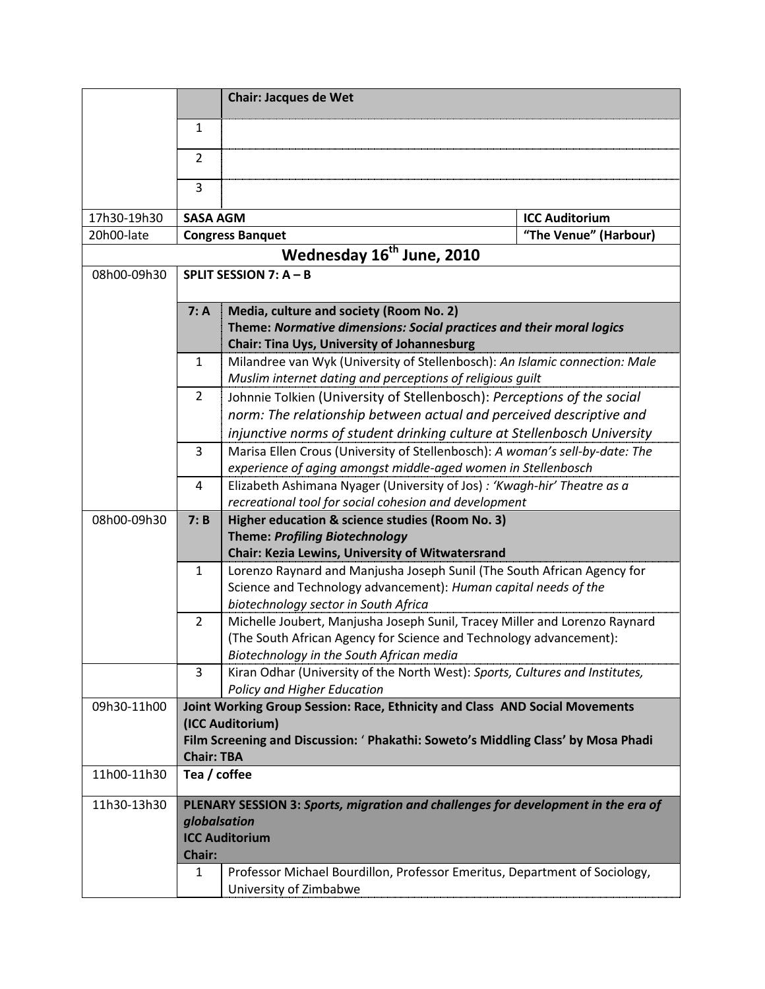|                                       |                                                                                   | <b>Chair: Jacques de Wet</b>                                                                                                               |                       |  |  |  |
|---------------------------------------|-----------------------------------------------------------------------------------|--------------------------------------------------------------------------------------------------------------------------------------------|-----------------------|--|--|--|
|                                       | $\mathbf{1}$                                                                      |                                                                                                                                            |                       |  |  |  |
|                                       | $\overline{2}$                                                                    |                                                                                                                                            |                       |  |  |  |
|                                       | 3                                                                                 |                                                                                                                                            |                       |  |  |  |
| 17h30-19h30                           | <b>SASA AGM</b>                                                                   |                                                                                                                                            | <b>ICC Auditorium</b> |  |  |  |
| 20h00-late                            |                                                                                   | "The Venue" (Harbour)<br><b>Congress Banquet</b>                                                                                           |                       |  |  |  |
| Wednesday 16 <sup>th</sup> June, 2010 |                                                                                   |                                                                                                                                            |                       |  |  |  |
| 08h00-09h30                           | SPLIT SESSION 7: A - B                                                            |                                                                                                                                            |                       |  |  |  |
|                                       | 7: A                                                                              | Media, culture and society (Room No. 2)                                                                                                    |                       |  |  |  |
|                                       |                                                                                   | Theme: Normative dimensions: Social practices and their moral logics                                                                       |                       |  |  |  |
|                                       |                                                                                   | <b>Chair: Tina Uys, University of Johannesburg</b>                                                                                         |                       |  |  |  |
|                                       | $\mathbf{1}$                                                                      | Milandree van Wyk (University of Stellenbosch): An Islamic connection: Male                                                                |                       |  |  |  |
|                                       |                                                                                   | Muslim internet dating and perceptions of religious guilt                                                                                  |                       |  |  |  |
|                                       | 2                                                                                 | Johnnie Tolkien (University of Stellenbosch): Perceptions of the social                                                                    |                       |  |  |  |
|                                       |                                                                                   | norm: The relationship between actual and perceived descriptive and                                                                        |                       |  |  |  |
|                                       |                                                                                   | injunctive norms of student drinking culture at Stellenbosch University                                                                    |                       |  |  |  |
|                                       | 3                                                                                 | Marisa Ellen Crous (University of Stellenbosch): A woman's sell-by-date: The                                                               |                       |  |  |  |
|                                       |                                                                                   | experience of aging amongst middle-aged women in Stellenbosch                                                                              |                       |  |  |  |
|                                       | 4                                                                                 | Elizabeth Ashimana Nyager (University of Jos) : 'Kwagh-hir' Theatre as a                                                                   |                       |  |  |  |
|                                       |                                                                                   | recreational tool for social cohesion and development                                                                                      |                       |  |  |  |
| 08h00-09h30                           | 7: B                                                                              | Higher education & science studies (Room No. 3)                                                                                            |                       |  |  |  |
|                                       |                                                                                   | <b>Theme: Profiling Biotechnology</b>                                                                                                      |                       |  |  |  |
|                                       | $\mathbf{1}$                                                                      | Chair: Kezia Lewins, University of Witwatersrand                                                                                           |                       |  |  |  |
|                                       |                                                                                   | Lorenzo Raynard and Manjusha Joseph Sunil (The South African Agency for<br>Science and Technology advancement): Human capital needs of the |                       |  |  |  |
|                                       |                                                                                   | biotechnology sector in South Africa                                                                                                       |                       |  |  |  |
|                                       | 2                                                                                 | Michelle Joubert, Manjusha Joseph Sunil, Tracey Miller and Lorenzo Raynard                                                                 |                       |  |  |  |
|                                       |                                                                                   | (The South African Agency for Science and Technology advancement):                                                                         |                       |  |  |  |
|                                       |                                                                                   | Biotechnology in the South African media                                                                                                   |                       |  |  |  |
|                                       | 3                                                                                 | Kiran Odhar (University of the North West): Sports, Cultures and Institutes,                                                               |                       |  |  |  |
|                                       |                                                                                   | Policy and Higher Education                                                                                                                |                       |  |  |  |
| 09h30-11h00                           |                                                                                   | Joint Working Group Session: Race, Ethnicity and Class AND Social Movements                                                                |                       |  |  |  |
|                                       |                                                                                   | (ICC Auditorium)                                                                                                                           |                       |  |  |  |
|                                       |                                                                                   | Film Screening and Discussion: ' Phakathi: Soweto's Middling Class' by Mosa Phadi                                                          |                       |  |  |  |
|                                       | <b>Chair: TBA</b>                                                                 |                                                                                                                                            |                       |  |  |  |
| 11h00-11h30                           |                                                                                   | Tea / coffee                                                                                                                               |                       |  |  |  |
| 11h30-13h30                           | PLENARY SESSION 3: Sports, migration and challenges for development in the era of |                                                                                                                                            |                       |  |  |  |
|                                       | globalsation                                                                      |                                                                                                                                            |                       |  |  |  |
|                                       |                                                                                   | <b>ICC Auditorium</b>                                                                                                                      |                       |  |  |  |
|                                       | <b>Chair:</b>                                                                     |                                                                                                                                            |                       |  |  |  |
|                                       | $\mathbf{1}$                                                                      | Professor Michael Bourdillon, Professor Emeritus, Department of Sociology,                                                                 |                       |  |  |  |
|                                       |                                                                                   | University of Zimbabwe                                                                                                                     |                       |  |  |  |